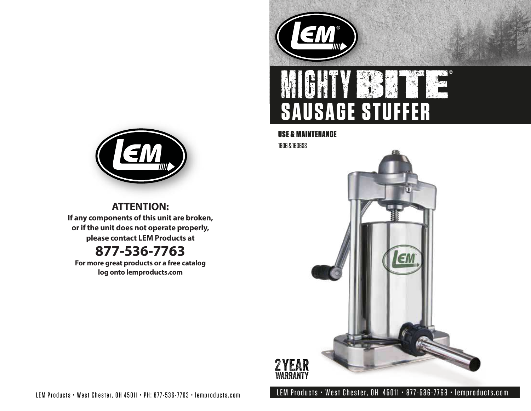

# **SAUSAGE STUFFER**

## USE & MAINTENANCE

1606 & 1606SS





**ATTENTION: If any components of this unit are broken, or if the unit does not operate properly, please contact LEM Products at**

# **877-536-7763**

**For more great products or a free catalog log onto lemproducts.com**

LEM Products • West Chester, OH 45011 • PH: 877-536-7763 • lemproducts.com LEM Products • West Chester, OH 45011 • 877-536-7763 • lemproducts.com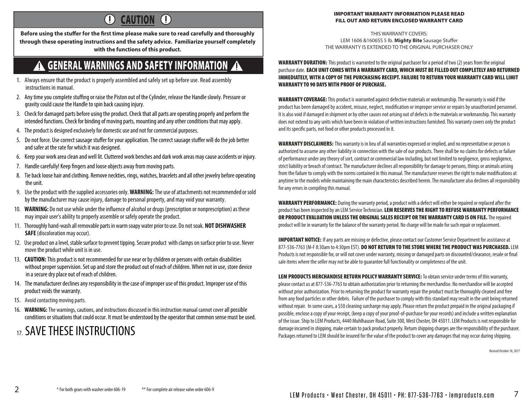### $\overline{1}$ CAUTION (!)

Before using the stuffer for the first time please make sure to read carefully and thoroughly **through these operating instructions and the safety advice. Familiarize yourself completely with the functions of this product.**

## **A GENERAL WARNINGS AND SAFETY INFORMATION A**

- 1. Always ensure that the product is properly assembled and safely set up before use. Read assembly instructions in manual.
- 2. Any time you complete stuffing or raise the Piston out of the Cylinder, release the Handle slowly. Pressure or gravity could cause the Handle to spin back causing injury.
- 3. Check for damaged parts before using the product. Check that all parts are operating properly and perform the intended functions. Check for binding of moving parts, mounting and any other conditions that may apply.
- 4. The product is designed exclusively for domestic use and not for commercial purposes.
- 5. Do not force. Use correct sausage stuffer for your application. The correct sausage stuffer will do the job better and safer at the rate for which it was designed.
- 6. Keep your work area clean and well lit. Cluttered work benches and dark work areas may cause accidents or injury.
- 7. Handle carefully! Keep fingers and loose objects away from moving parts.
- 8. Tie back loose hair and clothing. Remove neckties, rings, watches, bracelets and all other jewelry before operating the unit.
- 9. Use the product with the supplied accessories only. **WARNING:** The use of attachments not recommendedor sold by the manufacturer may cause injury, damage to personal property, and may void your warranty.
- 10. **WARNING:** Do not use while under the influence of alcohol or drugs (prescription or nonprescription) as these may impair user's ability to properly assemble or safely operate the product.
- 11. Thoroughly hand-wash all removable parts in warm soapy water prior to use. Do not soak. **NOT DISHWASHER SAFE** (discoloration may occur).
- 12. Use product on a level, stable surface to prevent tipping. Secure product with clamps on surface prior to use. Never move the product while unit is in use.
- 13. **CAUTION:** This product is not recommended for use near or by children or persons with certain disabilities without proper supervision. Set up and store the product out of reach of children. When not in use, store device in a secure dry place out of reach of children.
- 14. The manufacturer declines any responsibility in the case of improper use of this product. Improper use of this product voids the warranty.
- 15. Avoid contacting moving parts.
- 16. **WARNING:** The warnings, cautions, and instructions discussed in this instruction manual cannot cover all possible conditions or situations that could occur. It must be understood by the operator that common sense must be used.

# <sub>17</sub> SAVE THESE INSTRUCTIONS

#### IMPORTANT WARRANTY INFORMATION PLEASE READ FILL OUT AND RETURN ENCLOSED WARRANTY CARD

THIS WARRANTY COVERS: LEM 1606 &1606SS 5 lb. Mighty Bite Sausage Stuffer THE WARRANTY IS EXTENDED TO THE ORIGINAL PURCHASER ONLY

WARRANTY DURATION: This product is warranted to the original purchaser for a period of two (2) years from the original purchase date. EACH UNIT COMES WITH A WARRANTY CARD, WHICH MUST BE FILLED OUT COMPLETELY AND RETURNED IMMEDIATELY, WITH A COPY OF THE PURCHASING RECEIPT. FAILURE TO RETURN YOUR WARRANTY CARD WILL LIMIT WARRANTY TO 90 DAYS WITH PROOF OF PURCHASE.

WARRANTY COVERAGE: This product is warranted against defective materials or workmanship. The warranty is void if the product has been damaged by accident, misuse, neglect, modification or improper service or repairs by unauthorized personnel. It is also void if damaged in shipment or by other causes not arising out of defects in the materials or workmanship. This warranty does not extend to any units which have been in violation of written instructions furnished. This warranty covers only the product and its specific parts, not food or other products processed in it.

WARRANTY DISCLAIMERS: This warranty is in lieu of all warranties expressed or implied, and no representative or person is authorized to assume any other liability in connection with the sale of our products. There shall be no claims for defects or failure of performance under any theory of sort, contract or commercial law including, but not limited to negligence, gross negligence, strict liability or breach of contract. The manufacturer declines all responsibility for damage to persons, things or animals arising from the failure to comply with the norms contained in this manual. The manufacturer reserves the right to make modifications at anytime to the models while maintaining the main characteristics described herein. The manufacturer also declines all responsibility for any errors in compiling this manual.

WARRANTY PERFORMANCE: During the warranty period, a product with a defect will either be repaired or replaced after the product has been inspected by an LEM Service Technician. LEM RESERVES THE RIGHT TO REFUSE WARRANTY PERFORMANCE OR PRODUCT EVALUATION UNLESS THE ORIGINAL SALES RECEIPT OR THE WARRANTY CARD IS ON FILE. The repaired product will be in warranty for the balance of the warranty period. No charge will be made for such repair or replacement.

IMPORTANT NOTICE: If any parts are missing or defective, please contact our Customer Service Department for assistance at 877-536-7763 (M-F 8:30am to 4:30pm EST). DO NOT RETURN TO THE STORE WHERE THE PRODUCT WAS PURCHASED. LEM Products is not responsible for, or will not cover under warranty, missing or damaged parts on discounted/clearance, resale or final sale items where the seller may not be able to guarantee full functionality or completeness of the unit.

LEM PRODUCTS MERCHANDISE RETURN POLICY WARRANTY SERVICE: To obtain service under terms of this warranty, please contact us at 877-536-7763 to obtain authorization prior to returning the merchandise. No merchandise will be accepted without prior authorization. Prior to returning the product for warranty repair the product must be thoroughly cleaned and free from any food particles or other debris. Failure of the purchaser to comply with this standard may result in the unit being returned without repair. In some cases, a \$50 cleaning surcharge may apply. Please return the product prepaid in the original packaging if possible, enclose a copy of your receipt, (keep a copy of your proof-of-purchase for your records) and include a written explanation of the issue. Ship to LEM Products, 4440 Muhlhauser Road, Suite 300, West Chester, OH 45011. LEM Products is not responsible for damage incurred in shipping, make certain to pack product properly. Return shipping charges are the responsibility of the purchaser. Packages returned to LEM should be insured for the value of the product to cover any damages that may occur during shipping.

Revised October 18, 2017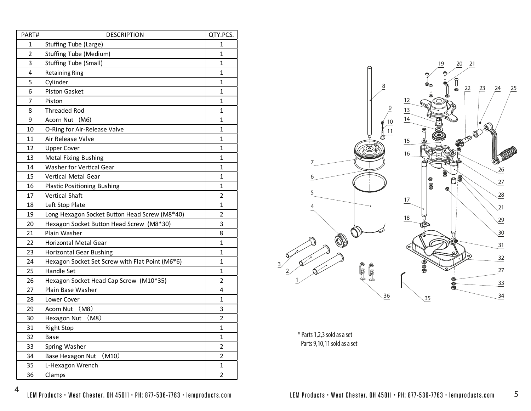| PART# | <b>DESCRIPTION</b>                              | QTY.PCS.       |
|-------|-------------------------------------------------|----------------|
| 1     | Stuffing Tube (Large)                           | 1              |
| 2     | <b>Stuffing Tube (Medium)</b>                   | 1              |
| 3     | Stuffing Tube (Small)                           | 1              |
| 4     | <b>Retaining Ring</b>                           | 1              |
| 5     | Cylinder                                        | 1              |
| 6     | Piston Gasket                                   | 1              |
| 7     | Piston                                          | 1              |
| 8     | <b>Threaded Rod</b>                             | 1              |
| 9     | Acorn Nut<br>(M6)                               | 1              |
| 10    | O-Ring for Air-Release Valve                    | 1              |
| 11    | Air Release Valve                               | 1              |
| 12    | <b>Upper Cover</b>                              | $\mathbf 1$    |
| 13    | <b>Metal Fixing Bushing</b>                     | 1              |
| 14    | Washer for Vertical Gear                        | 1              |
| 15    | Vertical Metal Gear                             | 1              |
| 16    | <b>Plastic Positioning Bushing</b>              | 1              |
| 17    | Vertical Shaft                                  | $\overline{2}$ |
| 18    | Left Stop Plate                                 | 1              |
| 19    | Long Hexagon Socket Button Head Screw (M8*40)   | 2              |
| 20    | Hexagon Socket Button Head Screw (M8*30)        | 3              |
| 21    | Plain Washer                                    | 8              |
| 22    | <b>Horizontal Metal Gear</b>                    | 1              |
| 23    | <b>Horizontal Gear Bushing</b>                  | 1              |
| 24    | Hexagon Socket Set Screw with Flat Point (M6*6) | 1              |
| 25    | <b>Handle Set</b>                               | 1              |
| 26    | Hexagon Socket Head Cap Screw (M10*35)          | 2              |
| 27    | Plain Base Washer                               | 4              |
| 28    | Lower Cover                                     | 1              |
| 29    | (M8)<br>Acorn Nut                               | 3              |
| 30    | Hexagon Nut (M8)                                | 2              |
| 31    | <b>Right Stop</b>                               | $\mathbf{1}$   |
| 32    | <b>Base</b>                                     | 1              |
| 33    | Spring Washer                                   | $\overline{2}$ |
| 34    | (M10)<br>Base Hexagon Nut                       | $\overline{2}$ |
| 35    | L-Hexagon Wrench                                | $\mathbf{1}$   |
| 36    | Clamps                                          | $\overline{2}$ |



\* Parts 1,2,3 sold as a set Parts 9,10,11 sold as a set